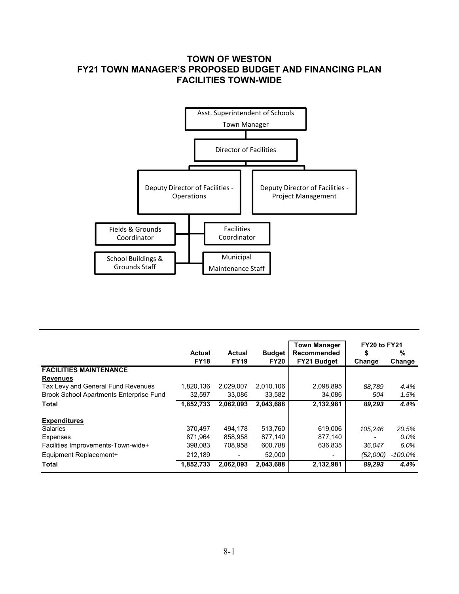## **TOWN OF WESTON FY21 TOWN MANAGER'S PROPOSED BUDGET AND FINANCING PLAN FACILITIES TOWN-WIDE**



|                                                |                       |                       |                              | <b>Town Manager</b>               | FY20 to FY21 |             |  |
|------------------------------------------------|-----------------------|-----------------------|------------------------------|-----------------------------------|--------------|-------------|--|
|                                                | Actual<br><b>FY18</b> | Actual<br><b>FY19</b> | <b>Budget</b><br><b>FY20</b> | <b>Recommended</b><br>FY21 Budget | \$<br>Change | %<br>Change |  |
| <b>FACILITIES MAINTENANCE</b>                  |                       |                       |                              |                                   |              |             |  |
| <b>Revenues</b>                                |                       |                       |                              |                                   |              |             |  |
| Tax Levy and General Fund Revenues             | 1.820.136             | 2,029,007             | 2,010,106                    | 2,098,895                         | 88,789       | 4.4%        |  |
| <b>Brook School Apartments Enterprise Fund</b> | 32.597                | 33.086                | 33,582                       | 34.086                            | 504          | 1.5%        |  |
| <b>Total</b>                                   | 1,852,733             | 2,062,093             | 2,043,688                    | 2,132,981                         | 89,293       | 4.4%        |  |
| <b>Expenditures</b>                            |                       |                       |                              |                                   |              |             |  |
| <b>Salaries</b>                                | 370.497               | 494.178               | 513,760                      | 619,006                           | 105.246      | 20.5%       |  |
| <b>Expenses</b>                                | 871,964               | 858,958               | 877,140                      | 877,140                           |              | $0.0\%$     |  |
| Facilities Improvements-Town-wide+             | 398,083               | 708.958               | 600,788                      | 636,835                           | 36,047       | 6.0%        |  |
| Equipment Replacement+                         | 212,189               |                       | 52,000                       |                                   | (52,000)     | -100.0%     |  |
| <b>Total</b>                                   | 1,852,733             | 2.062.093             | 2.043.688                    | 2,132,981                         | 89,293       | 4.4%        |  |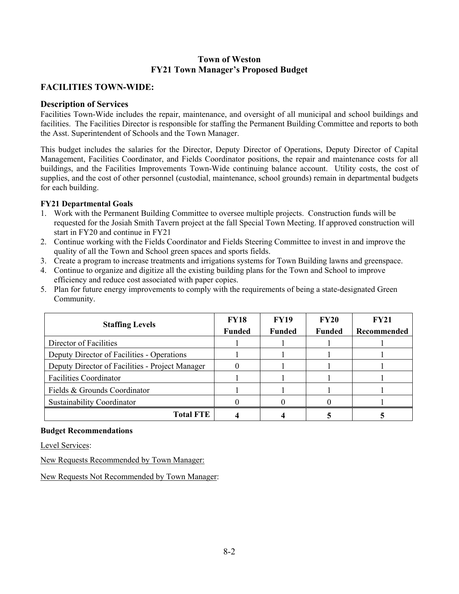## **Town of Weston FY21 Town Manager's Proposed Budget**

## **FACILITIES TOWN-WIDE:**

#### **Description of Services**

Facilities Town-Wide includes the repair, maintenance, and oversight of all municipal and school buildings and facilities. The Facilities Director is responsible for staffing the Permanent Building Committee and reports to both the Asst. Superintendent of Schools and the Town Manager.

This budget includes the salaries for the Director, Deputy Director of Operations, Deputy Director of Capital Management, Facilities Coordinator, and Fields Coordinator positions, the repair and maintenance costs for all buildings, and the Facilities Improvements Town-Wide continuing balance account. Utility costs, the cost of supplies, and the cost of other personnel (custodial, maintenance, school grounds) remain in departmental budgets for each building.

#### **FY21 Departmental Goals**

- 1. Work with the Permanent Building Committee to oversee multiple projects. Construction funds will be requested for the Josiah Smith Tavern project at the fall Special Town Meeting. If approved construction will start in FY20 and continue in FY21
- 2. Continue working with the Fields Coordinator and Fields Steering Committee to invest in and improve the quality of all the Town and School green spaces and sports fields.
- 3. Create a program to increase treatments and irrigations systems for Town Building lawns and greenspace.
- 4. Continue to organize and digitize all the existing building plans for the Town and School to improve efficiency and reduce cost associated with paper copies.
- 5. Plan for future energy improvements to comply with the requirements of being a state-designated Green Community.

| <b>Staffing Levels</b>                          | <b>FY18</b><br><b>Funded</b> | <b>FY19</b><br><b>Funded</b> | <b>FY20</b><br><b>Funded</b> | <b>FY21</b><br>Recommended |  |
|-------------------------------------------------|------------------------------|------------------------------|------------------------------|----------------------------|--|
| Director of Facilities                          |                              |                              |                              |                            |  |
| Deputy Director of Facilities - Operations      |                              |                              |                              |                            |  |
| Deputy Director of Facilities - Project Manager |                              |                              |                              |                            |  |
| <b>Facilities Coordinator</b>                   |                              |                              |                              |                            |  |
| Fields & Grounds Coordinator                    |                              |                              |                              |                            |  |
| Sustainability Coordinator                      |                              |                              |                              |                            |  |
| <b>Total FTE</b>                                |                              |                              |                              |                            |  |

#### **Budget Recommendations**

Level Services:

New Requests Recommended by Town Manager:

New Requests Not Recommended by Town Manager: